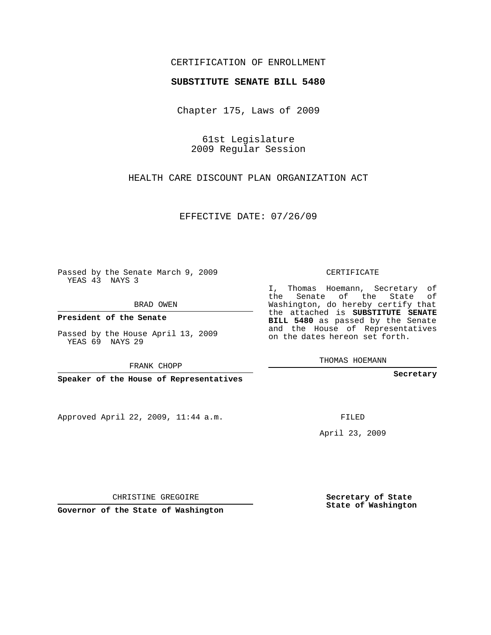## CERTIFICATION OF ENROLLMENT

## **SUBSTITUTE SENATE BILL 5480**

Chapter 175, Laws of 2009

61st Legislature 2009 Regular Session

HEALTH CARE DISCOUNT PLAN ORGANIZATION ACT

EFFECTIVE DATE: 07/26/09

Passed by the Senate March 9, 2009 YEAS 43 NAYS 3

BRAD OWEN

**President of the Senate**

Passed by the House April 13, 2009 YEAS 69 NAYS 29

FRANK CHOPP

**Speaker of the House of Representatives**

Approved April 22, 2009, 11:44 a.m.

CERTIFICATE

I, Thomas Hoemann, Secretary of the Senate of the State of Washington, do hereby certify that the attached is **SUBSTITUTE SENATE BILL 5480** as passed by the Senate and the House of Representatives on the dates hereon set forth.

THOMAS HOEMANN

**Secretary**

FILED

April 23, 2009

**Secretary of State State of Washington**

CHRISTINE GREGOIRE

**Governor of the State of Washington**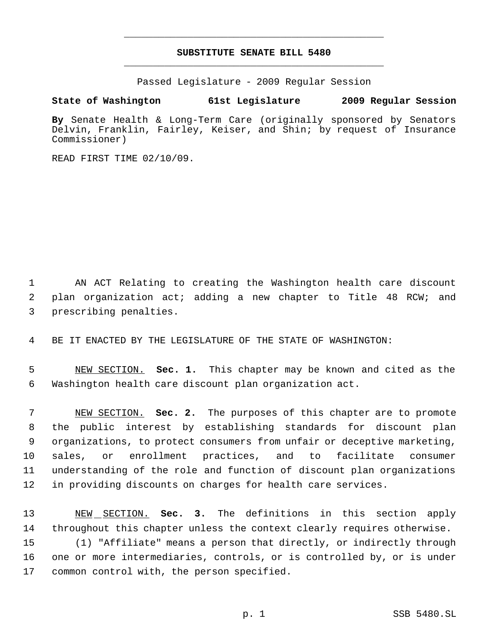## **SUBSTITUTE SENATE BILL 5480** \_\_\_\_\_\_\_\_\_\_\_\_\_\_\_\_\_\_\_\_\_\_\_\_\_\_\_\_\_\_\_\_\_\_\_\_\_\_\_\_\_\_\_\_\_

\_\_\_\_\_\_\_\_\_\_\_\_\_\_\_\_\_\_\_\_\_\_\_\_\_\_\_\_\_\_\_\_\_\_\_\_\_\_\_\_\_\_\_\_\_

Passed Legislature - 2009 Regular Session

## **State of Washington 61st Legislature 2009 Regular Session**

**By** Senate Health & Long-Term Care (originally sponsored by Senators Delvin, Franklin, Fairley, Keiser, and Shin; by request of Insurance Commissioner)

READ FIRST TIME 02/10/09.

 AN ACT Relating to creating the Washington health care discount plan organization act; adding a new chapter to Title 48 RCW; and prescribing penalties.

BE IT ENACTED BY THE LEGISLATURE OF THE STATE OF WASHINGTON:

 NEW SECTION. **Sec. 1.** This chapter may be known and cited as the Washington health care discount plan organization act.

 NEW SECTION. **Sec. 2.** The purposes of this chapter are to promote the public interest by establishing standards for discount plan organizations, to protect consumers from unfair or deceptive marketing, sales, or enrollment practices, and to facilitate consumer understanding of the role and function of discount plan organizations in providing discounts on charges for health care services.

 NEW SECTION. **Sec. 3.** The definitions in this section apply throughout this chapter unless the context clearly requires otherwise. (1) "Affiliate" means a person that directly, or indirectly through one or more intermediaries, controls, or is controlled by, or is under common control with, the person specified.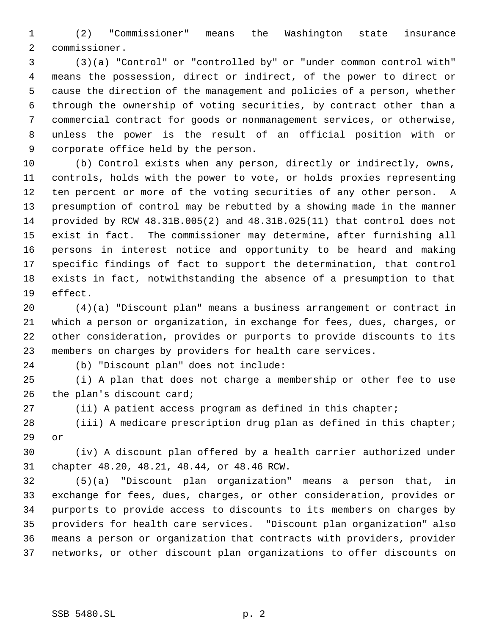(2) "Commissioner" means the Washington state insurance commissioner.

 (3)(a) "Control" or "controlled by" or "under common control with" means the possession, direct or indirect, of the power to direct or cause the direction of the management and policies of a person, whether through the ownership of voting securities, by contract other than a commercial contract for goods or nonmanagement services, or otherwise, unless the power is the result of an official position with or corporate office held by the person.

 (b) Control exists when any person, directly or indirectly, owns, controls, holds with the power to vote, or holds proxies representing ten percent or more of the voting securities of any other person. A presumption of control may be rebutted by a showing made in the manner provided by RCW 48.31B.005(2) and 48.31B.025(11) that control does not exist in fact. The commissioner may determine, after furnishing all persons in interest notice and opportunity to be heard and making specific findings of fact to support the determination, that control exists in fact, notwithstanding the absence of a presumption to that effect.

 (4)(a) "Discount plan" means a business arrangement or contract in which a person or organization, in exchange for fees, dues, charges, or other consideration, provides or purports to provide discounts to its members on charges by providers for health care services.

(b) "Discount plan" does not include:

 (i) A plan that does not charge a membership or other fee to use the plan's discount card;

(ii) A patient access program as defined in this chapter;

 (iii) A medicare prescription drug plan as defined in this chapter; or

 (iv) A discount plan offered by a health carrier authorized under chapter 48.20, 48.21, 48.44, or 48.46 RCW.

 (5)(a) "Discount plan organization" means a person that, in exchange for fees, dues, charges, or other consideration, provides or purports to provide access to discounts to its members on charges by providers for health care services. "Discount plan organization" also means a person or organization that contracts with providers, provider networks, or other discount plan organizations to offer discounts on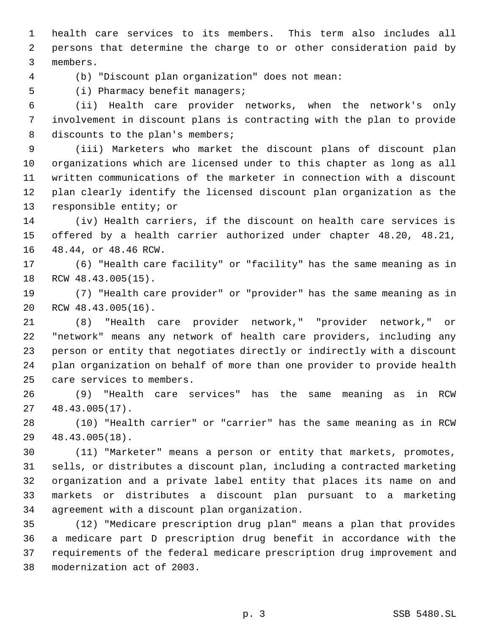health care services to its members. This term also includes all persons that determine the charge to or other consideration paid by members.

(b) "Discount plan organization" does not mean:

(i) Pharmacy benefit managers;

 (ii) Health care provider networks, when the network's only involvement in discount plans is contracting with the plan to provide 8 discounts to the plan's members;

 (iii) Marketers who market the discount plans of discount plan organizations which are licensed under to this chapter as long as all written communications of the marketer in connection with a discount plan clearly identify the licensed discount plan organization as the responsible entity; or

 (iv) Health carriers, if the discount on health care services is offered by a health carrier authorized under chapter 48.20, 48.21, 48.44, or 48.46 RCW.

 (6) "Health care facility" or "facility" has the same meaning as in RCW 48.43.005(15).

 (7) "Health care provider" or "provider" has the same meaning as in RCW 48.43.005(16).

 (8) "Health care provider network," "provider network," or "network" means any network of health care providers, including any person or entity that negotiates directly or indirectly with a discount plan organization on behalf of more than one provider to provide health care services to members.

 (9) "Health care services" has the same meaning as in RCW 48.43.005(17).

 (10) "Health carrier" or "carrier" has the same meaning as in RCW 48.43.005(18).

 (11) "Marketer" means a person or entity that markets, promotes, sells, or distributes a discount plan, including a contracted marketing organization and a private label entity that places its name on and markets or distributes a discount plan pursuant to a marketing agreement with a discount plan organization.

 (12) "Medicare prescription drug plan" means a plan that provides a medicare part D prescription drug benefit in accordance with the requirements of the federal medicare prescription drug improvement and modernization act of 2003.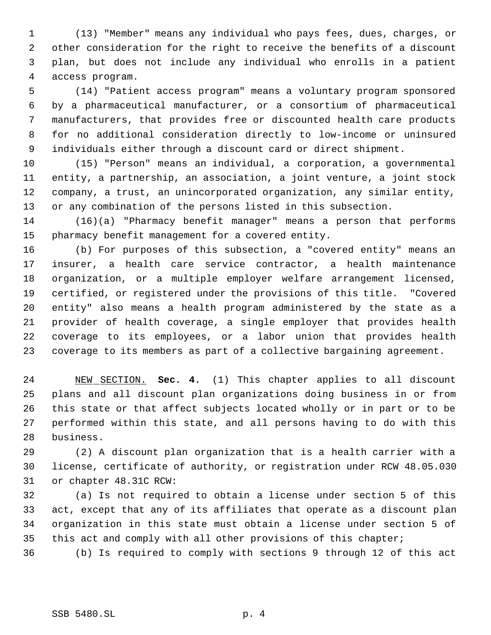(13) "Member" means any individual who pays fees, dues, charges, or other consideration for the right to receive the benefits of a discount plan, but does not include any individual who enrolls in a patient access program.

 (14) "Patient access program" means a voluntary program sponsored by a pharmaceutical manufacturer, or a consortium of pharmaceutical manufacturers, that provides free or discounted health care products for no additional consideration directly to low-income or uninsured individuals either through a discount card or direct shipment.

 (15) "Person" means an individual, a corporation, a governmental entity, a partnership, an association, a joint venture, a joint stock company, a trust, an unincorporated organization, any similar entity, or any combination of the persons listed in this subsection.

 (16)(a) "Pharmacy benefit manager" means a person that performs pharmacy benefit management for a covered entity.

 (b) For purposes of this subsection, a "covered entity" means an insurer, a health care service contractor, a health maintenance organization, or a multiple employer welfare arrangement licensed, certified, or registered under the provisions of this title. "Covered entity" also means a health program administered by the state as a provider of health coverage, a single employer that provides health coverage to its employees, or a labor union that provides health coverage to its members as part of a collective bargaining agreement.

 NEW SECTION. **Sec. 4.** (1) This chapter applies to all discount plans and all discount plan organizations doing business in or from this state or that affect subjects located wholly or in part or to be performed within this state, and all persons having to do with this business.

 (2) A discount plan organization that is a health carrier with a license, certificate of authority, or registration under RCW 48.05.030 or chapter 48.31C RCW:

 (a) Is not required to obtain a license under section 5 of this act, except that any of its affiliates that operate as a discount plan organization in this state must obtain a license under section 5 of this act and comply with all other provisions of this chapter;

(b) Is required to comply with sections 9 through 12 of this act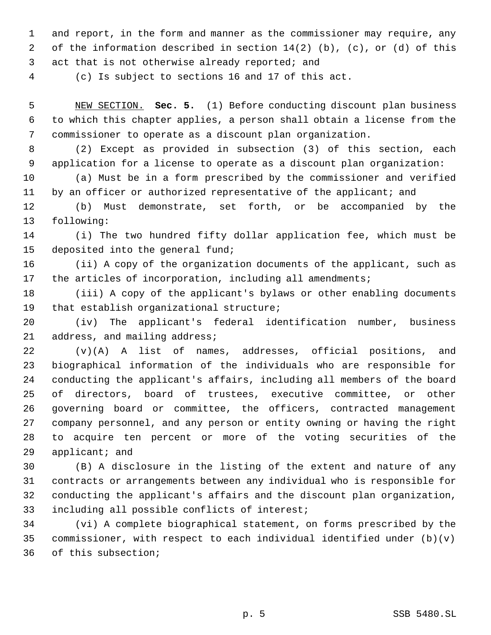and report, in the form and manner as the commissioner may require, any of the information described in section 14(2) (b), (c), or (d) of this 3 act that is not otherwise already reported; and

(c) Is subject to sections 16 and 17 of this act.

 NEW SECTION. **Sec. 5.** (1) Before conducting discount plan business to which this chapter applies, a person shall obtain a license from the commissioner to operate as a discount plan organization.

 (2) Except as provided in subsection (3) of this section, each application for a license to operate as a discount plan organization:

 (a) Must be in a form prescribed by the commissioner and verified 11 by an officer or authorized representative of the applicant; and

 (b) Must demonstrate, set forth, or be accompanied by the following:

 (i) The two hundred fifty dollar application fee, which must be deposited into the general fund;

 (ii) A copy of the organization documents of the applicant, such as the articles of incorporation, including all amendments;

 (iii) A copy of the applicant's bylaws or other enabling documents that establish organizational structure;

 (iv) The applicant's federal identification number, business address, and mailing address;

 (v)(A) A list of names, addresses, official positions, and biographical information of the individuals who are responsible for conducting the applicant's affairs, including all members of the board of directors, board of trustees, executive committee, or other governing board or committee, the officers, contracted management company personnel, and any person or entity owning or having the right to acquire ten percent or more of the voting securities of the applicant; and

 (B) A disclosure in the listing of the extent and nature of any contracts or arrangements between any individual who is responsible for conducting the applicant's affairs and the discount plan organization, including all possible conflicts of interest;

 (vi) A complete biographical statement, on forms prescribed by the commissioner, with respect to each individual identified under (b)(v) of this subsection;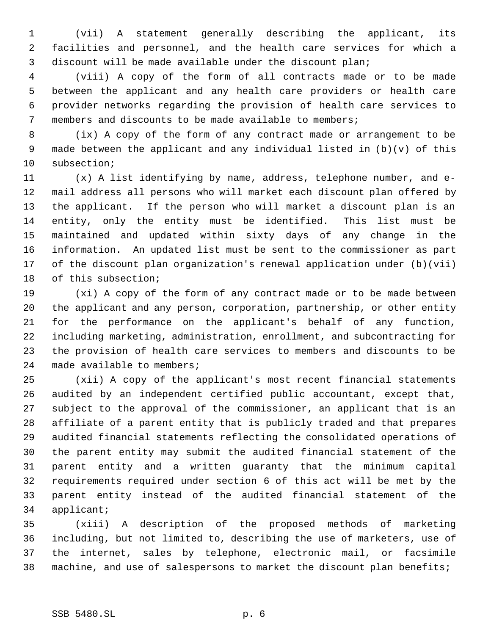(vii) A statement generally describing the applicant, its facilities and personnel, and the health care services for which a discount will be made available under the discount plan;

 (viii) A copy of the form of all contracts made or to be made between the applicant and any health care providers or health care provider networks regarding the provision of health care services to members and discounts to be made available to members;

 (ix) A copy of the form of any contract made or arrangement to be made between the applicant and any individual listed in (b)(v) of this subsection;

 (x) A list identifying by name, address, telephone number, and e- mail address all persons who will market each discount plan offered by the applicant. If the person who will market a discount plan is an entity, only the entity must be identified. This list must be maintained and updated within sixty days of any change in the information. An updated list must be sent to the commissioner as part of the discount plan organization's renewal application under (b)(vii) of this subsection;

 (xi) A copy of the form of any contract made or to be made between the applicant and any person, corporation, partnership, or other entity for the performance on the applicant's behalf of any function, including marketing, administration, enrollment, and subcontracting for the provision of health care services to members and discounts to be made available to members;

 (xii) A copy of the applicant's most recent financial statements audited by an independent certified public accountant, except that, subject to the approval of the commissioner, an applicant that is an affiliate of a parent entity that is publicly traded and that prepares audited financial statements reflecting the consolidated operations of the parent entity may submit the audited financial statement of the parent entity and a written guaranty that the minimum capital requirements required under section 6 of this act will be met by the parent entity instead of the audited financial statement of the applicant;

 (xiii) A description of the proposed methods of marketing including, but not limited to, describing the use of marketers, use of the internet, sales by telephone, electronic mail, or facsimile machine, and use of salespersons to market the discount plan benefits;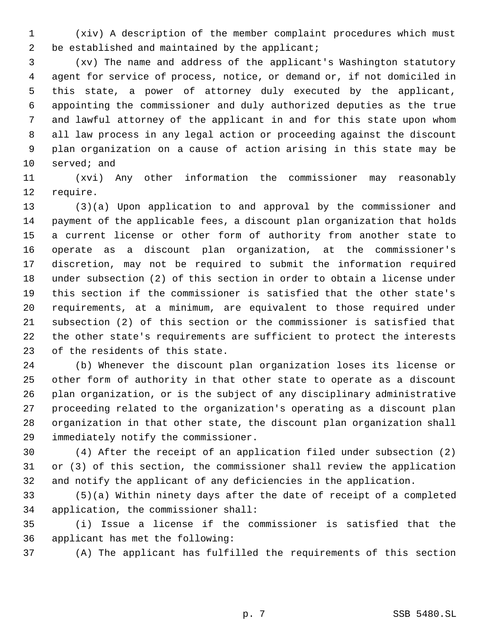(xiv) A description of the member complaint procedures which must 2 be established and maintained by the applicant;

 (xv) The name and address of the applicant's Washington statutory agent for service of process, notice, or demand or, if not domiciled in this state, a power of attorney duly executed by the applicant, appointing the commissioner and duly authorized deputies as the true and lawful attorney of the applicant in and for this state upon whom all law process in any legal action or proceeding against the discount plan organization on a cause of action arising in this state may be served; and

 (xvi) Any other information the commissioner may reasonably require.

 (3)(a) Upon application to and approval by the commissioner and payment of the applicable fees, a discount plan organization that holds a current license or other form of authority from another state to operate as a discount plan organization, at the commissioner's discretion, may not be required to submit the information required under subsection (2) of this section in order to obtain a license under this section if the commissioner is satisfied that the other state's requirements, at a minimum, are equivalent to those required under subsection (2) of this section or the commissioner is satisfied that the other state's requirements are sufficient to protect the interests of the residents of this state.

 (b) Whenever the discount plan organization loses its license or other form of authority in that other state to operate as a discount plan organization, or is the subject of any disciplinary administrative proceeding related to the organization's operating as a discount plan organization in that other state, the discount plan organization shall immediately notify the commissioner.

 (4) After the receipt of an application filed under subsection (2) or (3) of this section, the commissioner shall review the application and notify the applicant of any deficiencies in the application.

 (5)(a) Within ninety days after the date of receipt of a completed application, the commissioner shall:

 (i) Issue a license if the commissioner is satisfied that the applicant has met the following:

(A) The applicant has fulfilled the requirements of this section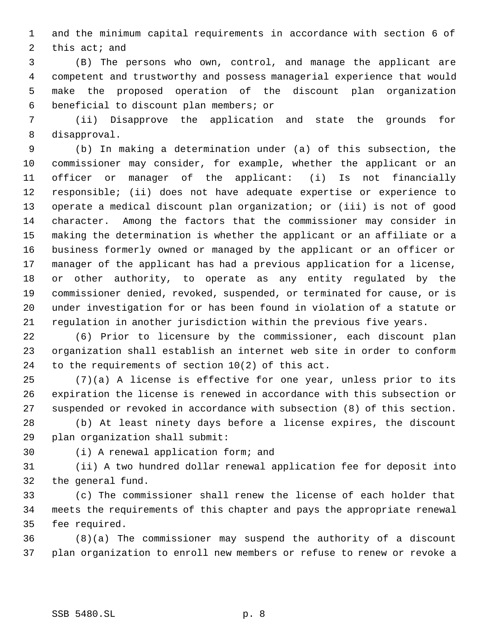and the minimum capital requirements in accordance with section 6 of this act; and

 (B) The persons who own, control, and manage the applicant are competent and trustworthy and possess managerial experience that would make the proposed operation of the discount plan organization beneficial to discount plan members; or

 (ii) Disapprove the application and state the grounds for disapproval.

 (b) In making a determination under (a) of this subsection, the commissioner may consider, for example, whether the applicant or an officer or manager of the applicant: (i) Is not financially responsible; (ii) does not have adequate expertise or experience to operate a medical discount plan organization; or (iii) is not of good character. Among the factors that the commissioner may consider in making the determination is whether the applicant or an affiliate or a business formerly owned or managed by the applicant or an officer or manager of the applicant has had a previous application for a license, or other authority, to operate as any entity regulated by the commissioner denied, revoked, suspended, or terminated for cause, or is under investigation for or has been found in violation of a statute or regulation in another jurisdiction within the previous five years.

 (6) Prior to licensure by the commissioner, each discount plan organization shall establish an internet web site in order to conform to the requirements of section 10(2) of this act.

 (7)(a) A license is effective for one year, unless prior to its expiration the license is renewed in accordance with this subsection or suspended or revoked in accordance with subsection (8) of this section.

 (b) At least ninety days before a license expires, the discount plan organization shall submit:

(i) A renewal application form; and

 (ii) A two hundred dollar renewal application fee for deposit into the general fund.

 (c) The commissioner shall renew the license of each holder that meets the requirements of this chapter and pays the appropriate renewal fee required.

 (8)(a) The commissioner may suspend the authority of a discount plan organization to enroll new members or refuse to renew or revoke a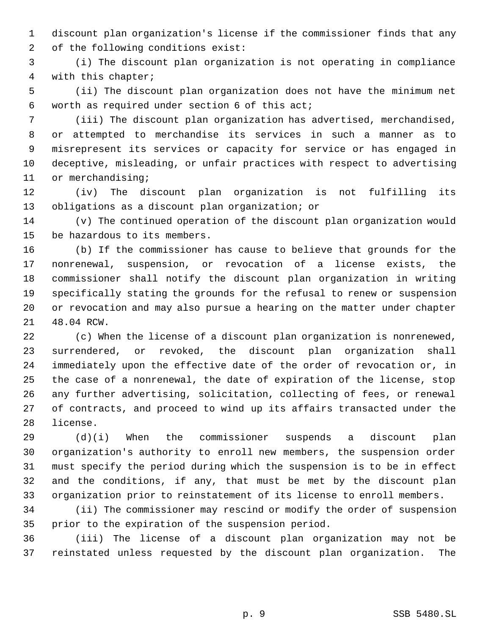discount plan organization's license if the commissioner finds that any of the following conditions exist:

 (i) The discount plan organization is not operating in compliance with this chapter;

 (ii) The discount plan organization does not have the minimum net worth as required under section 6 of this act;

 (iii) The discount plan organization has advertised, merchandised, or attempted to merchandise its services in such a manner as to misrepresent its services or capacity for service or has engaged in deceptive, misleading, or unfair practices with respect to advertising 11 or merchandising;

 (iv) The discount plan organization is not fulfilling its obligations as a discount plan organization; or

 (v) The continued operation of the discount plan organization would be hazardous to its members.

 (b) If the commissioner has cause to believe that grounds for the nonrenewal, suspension, or revocation of a license exists, the commissioner shall notify the discount plan organization in writing specifically stating the grounds for the refusal to renew or suspension or revocation and may also pursue a hearing on the matter under chapter 48.04 RCW.

 (c) When the license of a discount plan organization is nonrenewed, surrendered, or revoked, the discount plan organization shall immediately upon the effective date of the order of revocation or, in the case of a nonrenewal, the date of expiration of the license, stop any further advertising, solicitation, collecting of fees, or renewal of contracts, and proceed to wind up its affairs transacted under the license.

 (d)(i) When the commissioner suspends a discount plan organization's authority to enroll new members, the suspension order must specify the period during which the suspension is to be in effect and the conditions, if any, that must be met by the discount plan organization prior to reinstatement of its license to enroll members.

 (ii) The commissioner may rescind or modify the order of suspension prior to the expiration of the suspension period.

 (iii) The license of a discount plan organization may not be reinstated unless requested by the discount plan organization. The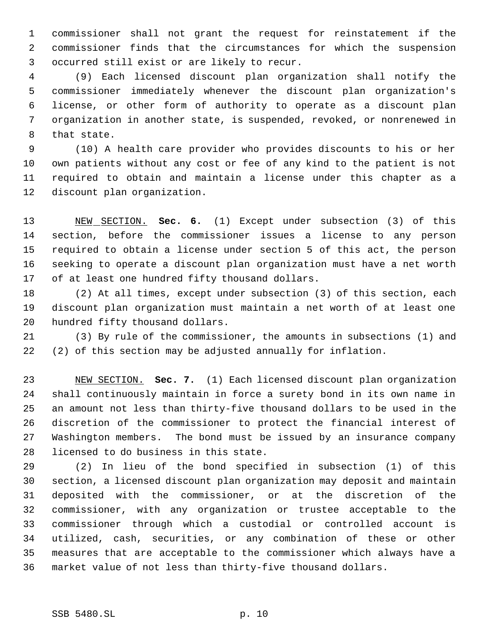commissioner shall not grant the request for reinstatement if the commissioner finds that the circumstances for which the suspension occurred still exist or are likely to recur.

 (9) Each licensed discount plan organization shall notify the commissioner immediately whenever the discount plan organization's license, or other form of authority to operate as a discount plan organization in another state, is suspended, revoked, or nonrenewed in that state.

 (10) A health care provider who provides discounts to his or her own patients without any cost or fee of any kind to the patient is not required to obtain and maintain a license under this chapter as a discount plan organization.

 NEW SECTION. **Sec. 6.** (1) Except under subsection (3) of this section, before the commissioner issues a license to any person required to obtain a license under section 5 of this act, the person seeking to operate a discount plan organization must have a net worth of at least one hundred fifty thousand dollars.

 (2) At all times, except under subsection (3) of this section, each discount plan organization must maintain a net worth of at least one hundred fifty thousand dollars.

 (3) By rule of the commissioner, the amounts in subsections (1) and (2) of this section may be adjusted annually for inflation.

 NEW SECTION. **Sec. 7.** (1) Each licensed discount plan organization shall continuously maintain in force a surety bond in its own name in an amount not less than thirty-five thousand dollars to be used in the discretion of the commissioner to protect the financial interest of Washington members. The bond must be issued by an insurance company licensed to do business in this state.

 (2) In lieu of the bond specified in subsection (1) of this section, a licensed discount plan organization may deposit and maintain deposited with the commissioner, or at the discretion of the commissioner, with any organization or trustee acceptable to the commissioner through which a custodial or controlled account is utilized, cash, securities, or any combination of these or other measures that are acceptable to the commissioner which always have a market value of not less than thirty-five thousand dollars.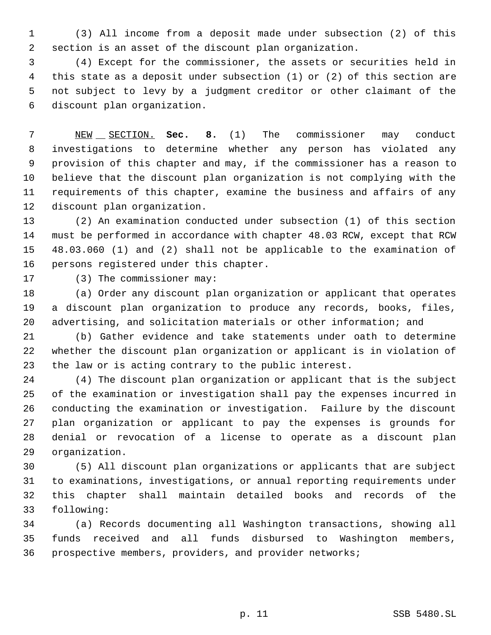(3) All income from a deposit made under subsection (2) of this section is an asset of the discount plan organization.

 (4) Except for the commissioner, the assets or securities held in this state as a deposit under subsection (1) or (2) of this section are not subject to levy by a judgment creditor or other claimant of the discount plan organization.

 NEW SECTION. **Sec. 8.** (1) The commissioner may conduct investigations to determine whether any person has violated any provision of this chapter and may, if the commissioner has a reason to believe that the discount plan organization is not complying with the requirements of this chapter, examine the business and affairs of any discount plan organization.

 (2) An examination conducted under subsection (1) of this section must be performed in accordance with chapter 48.03 RCW, except that RCW 48.03.060 (1) and (2) shall not be applicable to the examination of persons registered under this chapter.

(3) The commissioner may:

 (a) Order any discount plan organization or applicant that operates a discount plan organization to produce any records, books, files, advertising, and solicitation materials or other information; and

 (b) Gather evidence and take statements under oath to determine whether the discount plan organization or applicant is in violation of the law or is acting contrary to the public interest.

 (4) The discount plan organization or applicant that is the subject of the examination or investigation shall pay the expenses incurred in conducting the examination or investigation. Failure by the discount plan organization or applicant to pay the expenses is grounds for denial or revocation of a license to operate as a discount plan organization.

 (5) All discount plan organizations or applicants that are subject to examinations, investigations, or annual reporting requirements under this chapter shall maintain detailed books and records of the following:

 (a) Records documenting all Washington transactions, showing all funds received and all funds disbursed to Washington members, prospective members, providers, and provider networks;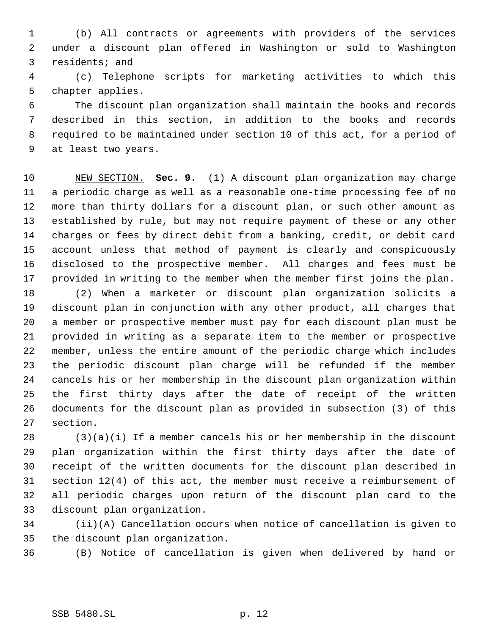(b) All contracts or agreements with providers of the services under a discount plan offered in Washington or sold to Washington residents; and

 (c) Telephone scripts for marketing activities to which this chapter applies.

 The discount plan organization shall maintain the books and records described in this section, in addition to the books and records required to be maintained under section 10 of this act, for a period of at least two years.

 NEW SECTION. **Sec. 9.** (1) A discount plan organization may charge a periodic charge as well as a reasonable one-time processing fee of no more than thirty dollars for a discount plan, or such other amount as established by rule, but may not require payment of these or any other charges or fees by direct debit from a banking, credit, or debit card account unless that method of payment is clearly and conspicuously disclosed to the prospective member. All charges and fees must be provided in writing to the member when the member first joins the plan.

 (2) When a marketer or discount plan organization solicits a discount plan in conjunction with any other product, all charges that a member or prospective member must pay for each discount plan must be provided in writing as a separate item to the member or prospective member, unless the entire amount of the periodic charge which includes the periodic discount plan charge will be refunded if the member cancels his or her membership in the discount plan organization within the first thirty days after the date of receipt of the written documents for the discount plan as provided in subsection (3) of this section.

 (3)(a)(i) If a member cancels his or her membership in the discount plan organization within the first thirty days after the date of receipt of the written documents for the discount plan described in section 12(4) of this act, the member must receive a reimbursement of all periodic charges upon return of the discount plan card to the discount plan organization.

 (ii)(A) Cancellation occurs when notice of cancellation is given to the discount plan organization.

(B) Notice of cancellation is given when delivered by hand or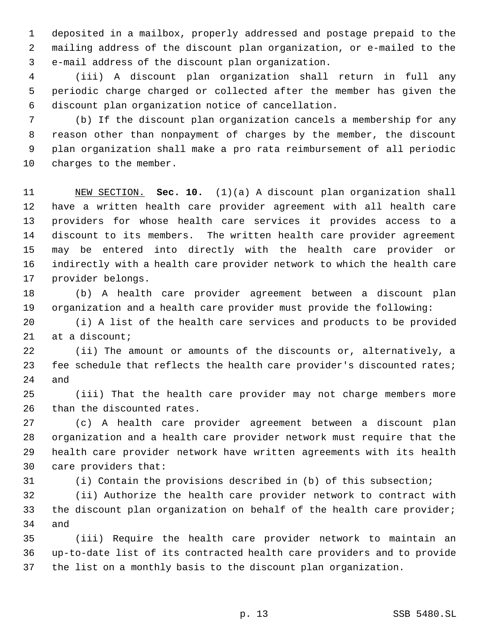deposited in a mailbox, properly addressed and postage prepaid to the mailing address of the discount plan organization, or e-mailed to the e-mail address of the discount plan organization.

 (iii) A discount plan organization shall return in full any periodic charge charged or collected after the member has given the discount plan organization notice of cancellation.

 (b) If the discount plan organization cancels a membership for any reason other than nonpayment of charges by the member, the discount plan organization shall make a pro rata reimbursement of all periodic charges to the member.

 NEW SECTION. **Sec. 10.** (1)(a) A discount plan organization shall have a written health care provider agreement with all health care providers for whose health care services it provides access to a discount to its members. The written health care provider agreement may be entered into directly with the health care provider or indirectly with a health care provider network to which the health care provider belongs.

 (b) A health care provider agreement between a discount plan organization and a health care provider must provide the following:

 (i) A list of the health care services and products to be provided at a discount;

 (ii) The amount or amounts of the discounts or, alternatively, a 23 fee schedule that reflects the health care provider's discounted rates; and

 (iii) That the health care provider may not charge members more than the discounted rates.

 (c) A health care provider agreement between a discount plan organization and a health care provider network must require that the health care provider network have written agreements with its health care providers that:

(i) Contain the provisions described in (b) of this subsection;

 (ii) Authorize the health care provider network to contract with the discount plan organization on behalf of the health care provider; and

 (iii) Require the health care provider network to maintain an up-to-date list of its contracted health care providers and to provide the list on a monthly basis to the discount plan organization.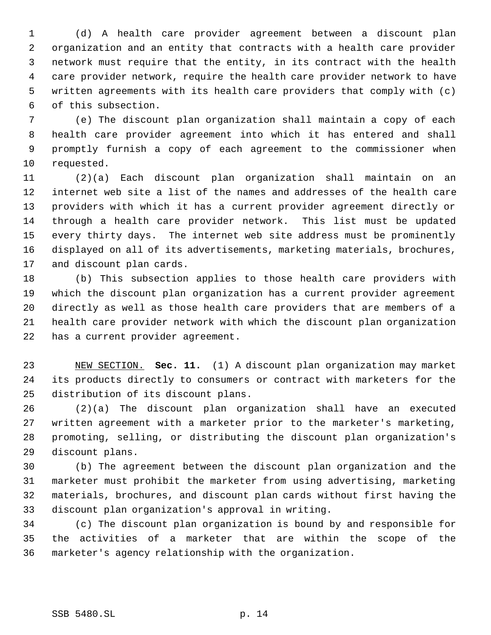(d) A health care provider agreement between a discount plan organization and an entity that contracts with a health care provider network must require that the entity, in its contract with the health care provider network, require the health care provider network to have written agreements with its health care providers that comply with (c) of this subsection.

 (e) The discount plan organization shall maintain a copy of each health care provider agreement into which it has entered and shall promptly furnish a copy of each agreement to the commissioner when requested.

 (2)(a) Each discount plan organization shall maintain on an internet web site a list of the names and addresses of the health care providers with which it has a current provider agreement directly or through a health care provider network. This list must be updated every thirty days. The internet web site address must be prominently displayed on all of its advertisements, marketing materials, brochures, and discount plan cards.

 (b) This subsection applies to those health care providers with which the discount plan organization has a current provider agreement directly as well as those health care providers that are members of a health care provider network with which the discount plan organization has a current provider agreement.

 NEW SECTION. **Sec. 11.** (1) A discount plan organization may market its products directly to consumers or contract with marketers for the distribution of its discount plans.

 (2)(a) The discount plan organization shall have an executed 27 written agreement with a marketer prior to the marketer's marketing, promoting, selling, or distributing the discount plan organization's discount plans.

 (b) The agreement between the discount plan organization and the marketer must prohibit the marketer from using advertising, marketing materials, brochures, and discount plan cards without first having the discount plan organization's approval in writing.

 (c) The discount plan organization is bound by and responsible for the activities of a marketer that are within the scope of the marketer's agency relationship with the organization.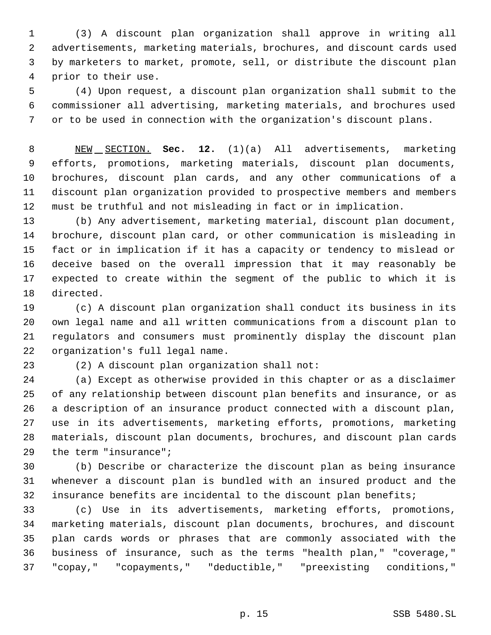(3) A discount plan organization shall approve in writing all advertisements, marketing materials, brochures, and discount cards used by marketers to market, promote, sell, or distribute the discount plan prior to their use.

 (4) Upon request, a discount plan organization shall submit to the commissioner all advertising, marketing materials, and brochures used or to be used in connection with the organization's discount plans.

 NEW SECTION. **Sec. 12.** (1)(a) All advertisements, marketing efforts, promotions, marketing materials, discount plan documents, brochures, discount plan cards, and any other communications of a discount plan organization provided to prospective members and members must be truthful and not misleading in fact or in implication.

 (b) Any advertisement, marketing material, discount plan document, brochure, discount plan card, or other communication is misleading in fact or in implication if it has a capacity or tendency to mislead or deceive based on the overall impression that it may reasonably be expected to create within the segment of the public to which it is directed.

 (c) A discount plan organization shall conduct its business in its own legal name and all written communications from a discount plan to regulators and consumers must prominently display the discount plan organization's full legal name.

(2) A discount plan organization shall not:

 (a) Except as otherwise provided in this chapter or as a disclaimer of any relationship between discount plan benefits and insurance, or as a description of an insurance product connected with a discount plan, use in its advertisements, marketing efforts, promotions, marketing materials, discount plan documents, brochures, and discount plan cards the term "insurance";

 (b) Describe or characterize the discount plan as being insurance whenever a discount plan is bundled with an insured product and the insurance benefits are incidental to the discount plan benefits;

 (c) Use in its advertisements, marketing efforts, promotions, marketing materials, discount plan documents, brochures, and discount plan cards words or phrases that are commonly associated with the business of insurance, such as the terms "health plan," "coverage," "copay," "copayments," "deductible," "preexisting conditions,"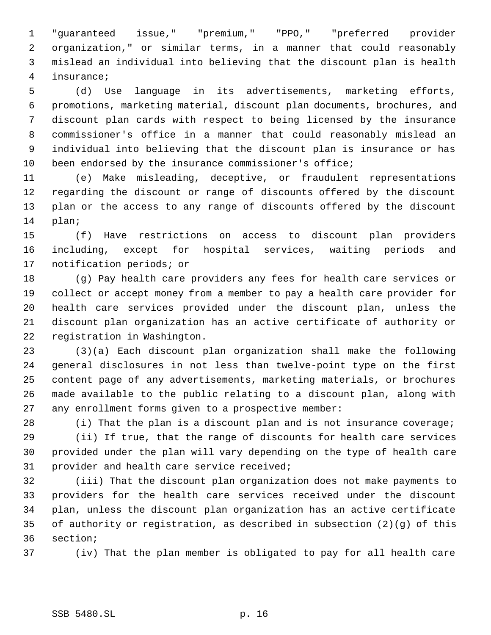"guaranteed issue," "premium," "PPO," "preferred provider organization," or similar terms, in a manner that could reasonably mislead an individual into believing that the discount plan is health insurance;

 (d) Use language in its advertisements, marketing efforts, promotions, marketing material, discount plan documents, brochures, and discount plan cards with respect to being licensed by the insurance commissioner's office in a manner that could reasonably mislead an individual into believing that the discount plan is insurance or has been endorsed by the insurance commissioner's office;

 (e) Make misleading, deceptive, or fraudulent representations regarding the discount or range of discounts offered by the discount plan or the access to any range of discounts offered by the discount plan;

 (f) Have restrictions on access to discount plan providers including, except for hospital services, waiting periods and notification periods; or

 (g) Pay health care providers any fees for health care services or collect or accept money from a member to pay a health care provider for health care services provided under the discount plan, unless the discount plan organization has an active certificate of authority or registration in Washington.

 (3)(a) Each discount plan organization shall make the following general disclosures in not less than twelve-point type on the first content page of any advertisements, marketing materials, or brochures made available to the public relating to a discount plan, along with any enrollment forms given to a prospective member:

28 (i) That the plan is a discount plan and is not insurance coverage;

 (ii) If true, that the range of discounts for health care services provided under the plan will vary depending on the type of health care provider and health care service received;

 (iii) That the discount plan organization does not make payments to providers for the health care services received under the discount plan, unless the discount plan organization has an active certificate of authority or registration, as described in subsection (2)(g) of this section;

(iv) That the plan member is obligated to pay for all health care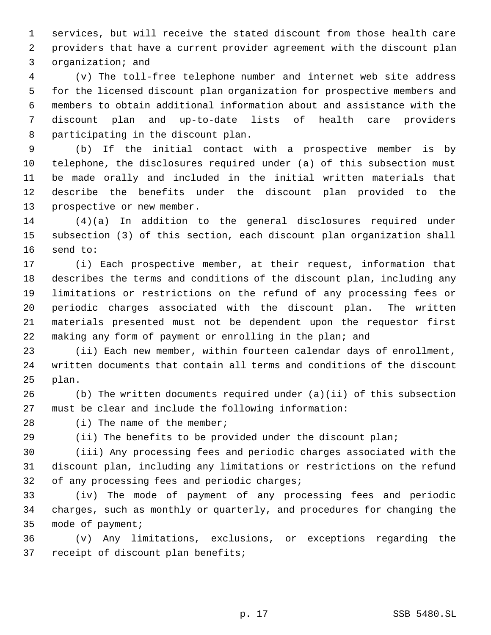services, but will receive the stated discount from those health care providers that have a current provider agreement with the discount plan organization; and

 (v) The toll-free telephone number and internet web site address for the licensed discount plan organization for prospective members and members to obtain additional information about and assistance with the discount plan and up-to-date lists of health care providers participating in the discount plan.

 (b) If the initial contact with a prospective member is by telephone, the disclosures required under (a) of this subsection must be made orally and included in the initial written materials that describe the benefits under the discount plan provided to the prospective or new member.

 (4)(a) In addition to the general disclosures required under subsection (3) of this section, each discount plan organization shall send to:

 (i) Each prospective member, at their request, information that describes the terms and conditions of the discount plan, including any limitations or restrictions on the refund of any processing fees or periodic charges associated with the discount plan. The written materials presented must not be dependent upon the requestor first making any form of payment or enrolling in the plan; and

 (ii) Each new member, within fourteen calendar days of enrollment, written documents that contain all terms and conditions of the discount plan.

 (b) The written documents required under (a)(ii) of this subsection must be clear and include the following information:

28 (i) The name of the member;

(ii) The benefits to be provided under the discount plan;

 (iii) Any processing fees and periodic charges associated with the discount plan, including any limitations or restrictions on the refund 32 of any processing fees and periodic charges;

 (iv) The mode of payment of any processing fees and periodic charges, such as monthly or quarterly, and procedures for changing the mode of payment;

 (v) Any limitations, exclusions, or exceptions regarding the receipt of discount plan benefits;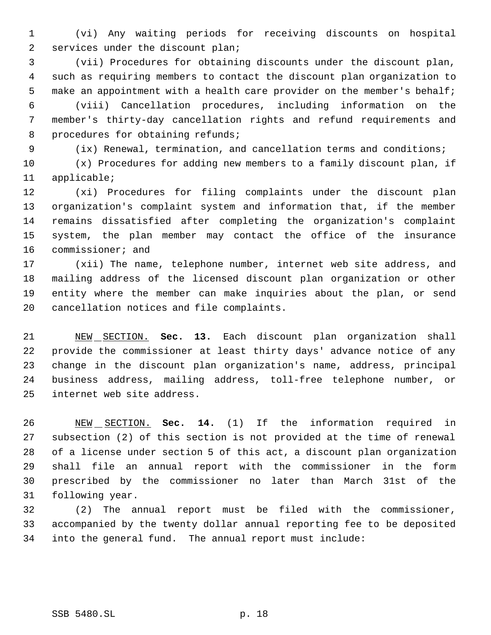(vi) Any waiting periods for receiving discounts on hospital services under the discount plan;

 (vii) Procedures for obtaining discounts under the discount plan, such as requiring members to contact the discount plan organization to 5 make an appointment with a health care provider on the member's behalf;

 (viii) Cancellation procedures, including information on the member's thirty-day cancellation rights and refund requirements and 8 procedures for obtaining refunds;

(ix) Renewal, termination, and cancellation terms and conditions;

 (x) Procedures for adding new members to a family discount plan, if applicable;

 (xi) Procedures for filing complaints under the discount plan organization's complaint system and information that, if the member remains dissatisfied after completing the organization's complaint system, the plan member may contact the office of the insurance commissioner; and

 (xii) The name, telephone number, internet web site address, and mailing address of the licensed discount plan organization or other entity where the member can make inquiries about the plan, or send cancellation notices and file complaints.

 NEW SECTION. **Sec. 13.** Each discount plan organization shall provide the commissioner at least thirty days' advance notice of any change in the discount plan organization's name, address, principal business address, mailing address, toll-free telephone number, or internet web site address.

 NEW SECTION. **Sec. 14.** (1) If the information required in subsection (2) of this section is not provided at the time of renewal of a license under section 5 of this act, a discount plan organization shall file an annual report with the commissioner in the form prescribed by the commissioner no later than March 31st of the following year.

 (2) The annual report must be filed with the commissioner, accompanied by the twenty dollar annual reporting fee to be deposited into the general fund. The annual report must include: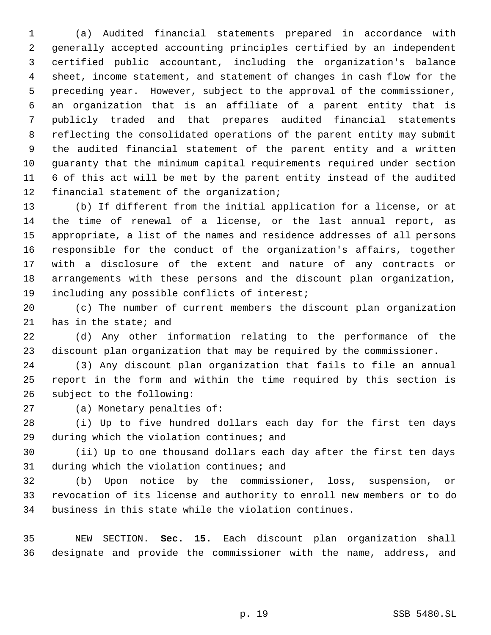(a) Audited financial statements prepared in accordance with generally accepted accounting principles certified by an independent certified public accountant, including the organization's balance sheet, income statement, and statement of changes in cash flow for the preceding year. However, subject to the approval of the commissioner, an organization that is an affiliate of a parent entity that is publicly traded and that prepares audited financial statements reflecting the consolidated operations of the parent entity may submit the audited financial statement of the parent entity and a written guaranty that the minimum capital requirements required under section 6 of this act will be met by the parent entity instead of the audited financial statement of the organization;

 (b) If different from the initial application for a license, or at the time of renewal of a license, or the last annual report, as appropriate, a list of the names and residence addresses of all persons responsible for the conduct of the organization's affairs, together with a disclosure of the extent and nature of any contracts or arrangements with these persons and the discount plan organization, including any possible conflicts of interest;

 (c) The number of current members the discount plan organization has in the state; and

 (d) Any other information relating to the performance of the discount plan organization that may be required by the commissioner.

 (3) Any discount plan organization that fails to file an annual report in the form and within the time required by this section is subject to the following:

(a) Monetary penalties of:

 (i) Up to five hundred dollars each day for the first ten days during which the violation continues; and

 (ii) Up to one thousand dollars each day after the first ten days during which the violation continues; and

 (b) Upon notice by the commissioner, loss, suspension, or revocation of its license and authority to enroll new members or to do business in this state while the violation continues.

 NEW SECTION. **Sec. 15.** Each discount plan organization shall designate and provide the commissioner with the name, address, and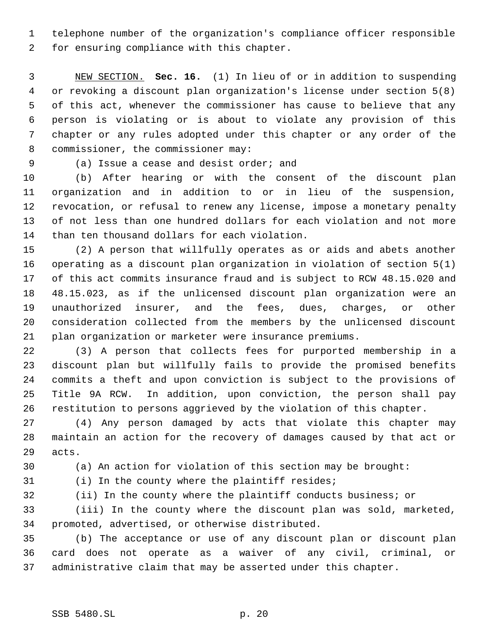telephone number of the organization's compliance officer responsible for ensuring compliance with this chapter.

 NEW SECTION. **Sec. 16.** (1) In lieu of or in addition to suspending or revoking a discount plan organization's license under section 5(8) of this act, whenever the commissioner has cause to believe that any person is violating or is about to violate any provision of this chapter or any rules adopted under this chapter or any order of the 8 commissioner, the commissioner may:

(a) Issue a cease and desist order; and

 (b) After hearing or with the consent of the discount plan organization and in addition to or in lieu of the suspension, revocation, or refusal to renew any license, impose a monetary penalty of not less than one hundred dollars for each violation and not more than ten thousand dollars for each violation.

 (2) A person that willfully operates as or aids and abets another operating as a discount plan organization in violation of section 5(1) of this act commits insurance fraud and is subject to RCW 48.15.020 and 48.15.023, as if the unlicensed discount plan organization were an unauthorized insurer, and the fees, dues, charges, or other consideration collected from the members by the unlicensed discount plan organization or marketer were insurance premiums.

 (3) A person that collects fees for purported membership in a discount plan but willfully fails to provide the promised benefits commits a theft and upon conviction is subject to the provisions of Title 9A RCW. In addition, upon conviction, the person shall pay restitution to persons aggrieved by the violation of this chapter.

 (4) Any person damaged by acts that violate this chapter may maintain an action for the recovery of damages caused by that act or acts.

(a) An action for violation of this section may be brought:

(i) In the county where the plaintiff resides;

(ii) In the county where the plaintiff conducts business; or

 (iii) In the county where the discount plan was sold, marketed, promoted, advertised, or otherwise distributed.

 (b) The acceptance or use of any discount plan or discount plan card does not operate as a waiver of any civil, criminal, or administrative claim that may be asserted under this chapter.